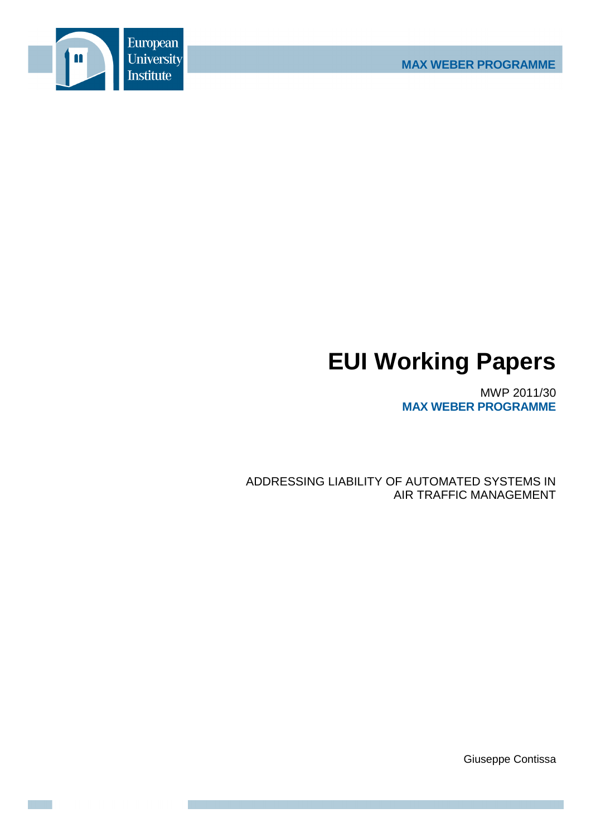

# **EUI Working Papers**

MWP 2011/30 **MAX WEBER PROGRAMME**

ADDRESSING LIABILITY OF AUTOMATED SYSTEMS IN AIR TRAFFIC MANAGEMENT

Giuseppe Contissa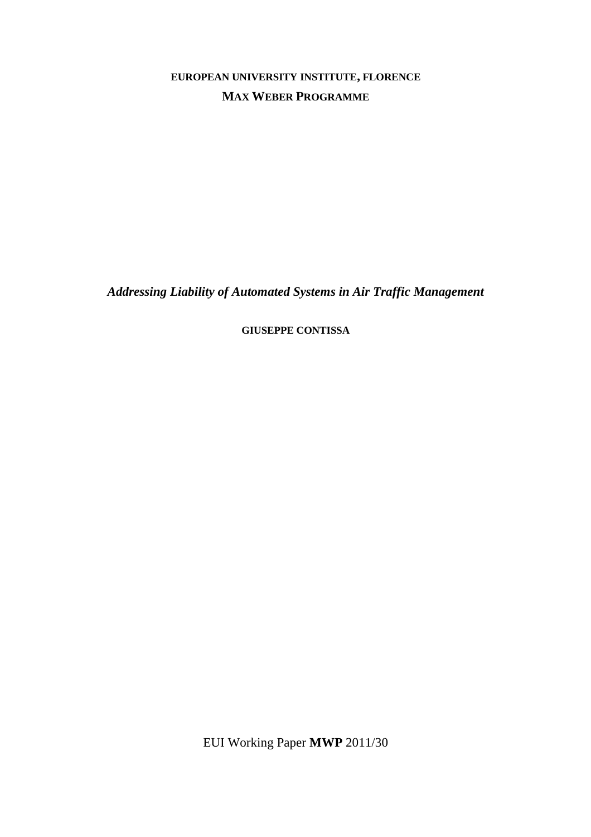**EUROPEAN UNIVERSITY INSTITUTE, FLORENCE MAX WEBER PROGRAMME**

*Addressing Liability of Automated Systems in Air Traffic Management* 

**GIUSEPPE CONTISSA**

EUI Working Paper **MWP** 2011/30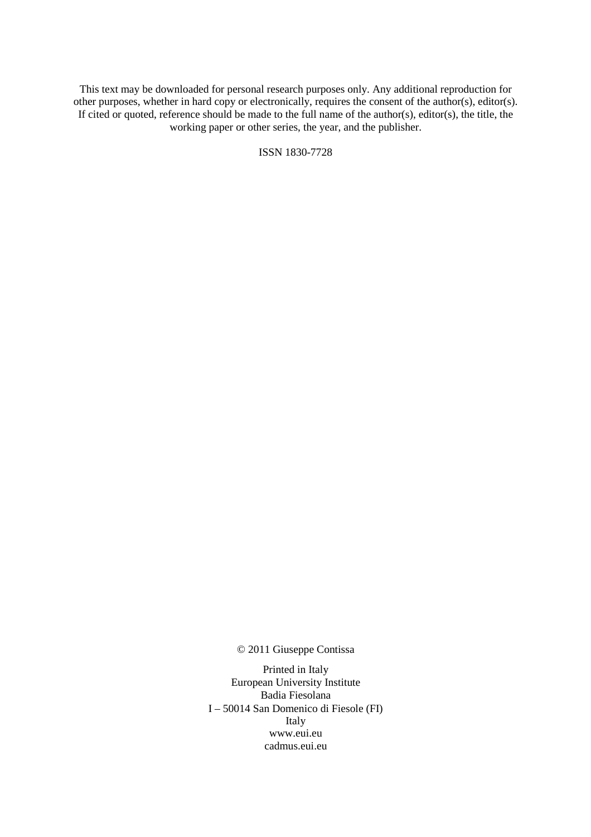This text may be downloaded for personal research purposes only. Any additional reproduction for other purposes, whether in hard copy or electronically, requires the consent of the author(s), editor(s). If cited or quoted, reference should be made to the full name of the author(s), editor(s), the title, the working paper or other series, the year, and the publisher.

ISSN 1830-7728

© 2011 Giuseppe Contissa

Printed in Italy European University Institute Badia Fiesolana I – 50014 San Domenico di Fiesole (FI) Italy www.eui.eu cadmus.eui.eu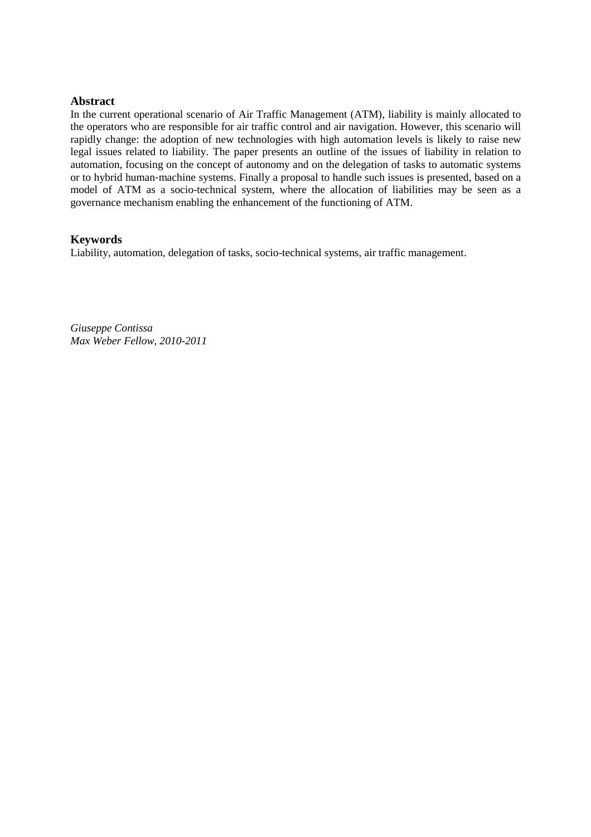## **Abstract**

In the current operational scenario of Air Traffic Management (ATM), liability is mainly allocated to the operators who are responsible for air traffic control and air navigation. However, this scenario will rapidly change: the adoption of new technologies with high automation levels is likely to raise new legal issues related to liability. The paper presents an outline of the issues of liability in relation to automation, focusing on the concept of autonomy and on the delegation of tasks to automatic systems or to hybrid human‐machine systems. Finally a proposal to handle such issues is presented, based on a model of ATM as a socio-technical system, where the allocation of liabilities may be seen as a governance mechanism enabling the enhancement of the functioning of ATM.

## **Keywords**

Liability, automation, delegation of tasks, socio-technical systems, air traffic management.

*Giuseppe Contissa Max Weber Fellow, 2010-2011*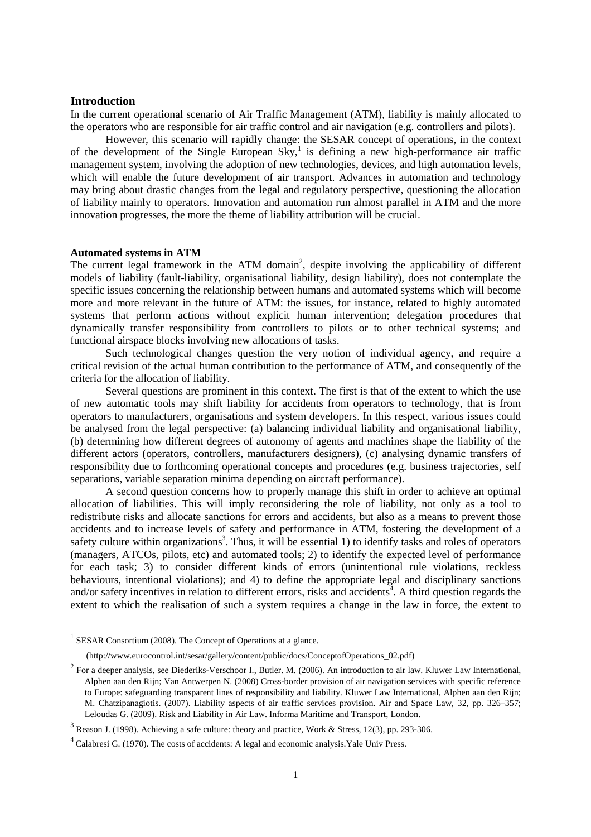## **Introduction**

In the current operational scenario of Air Traffic Management (ATM), liability is mainly allocated to the operators who are responsible for air traffic control and air navigation (e.g. controllers and pilots).

However, this scenario will rapidly change: the SESAR concept of operations, in the context of the development of the Single European Sky,<sup>1</sup> is defining a new high-performance air traffic management system, involving the adoption of new technologies, devices, and high automation levels, which will enable the future development of air transport. Advances in automation and technology may bring about drastic changes from the legal and regulatory perspective, questioning the allocation of liability mainly to operators. Innovation and automation run almost parallel in ATM and the more innovation progresses, the more the theme of liability attribution will be crucial.

#### **Automated systems in ATM**

The current legal framework in the ATM domain<sup>2</sup>, despite involving the applicability of different models of liability (fault-liability, organisational liability, design liability), does not contemplate the specific issues concerning the relationship between humans and automated systems which will become more and more relevant in the future of ATM: the issues, for instance, related to highly automated systems that perform actions without explicit human intervention; delegation procedures that dynamically transfer responsibility from controllers to pilots or to other technical systems; and functional airspace blocks involving new allocations of tasks.

Such technological changes question the very notion of individual agency, and require a critical revision of the actual human contribution to the performance of ATM, and consequently of the criteria for the allocation of liability.

Several questions are prominent in this context. The first is that of the extent to which the use of new automatic tools may shift liability for accidents from operators to technology, that is from operators to manufacturers, organisations and system developers. In this respect, various issues could be analysed from the legal perspective: (a) balancing individual liability and organisational liability, (b) determining how different degrees of autonomy of agents and machines shape the liability of the different actors (operators, controllers, manufacturers designers), (c) analysing dynamic transfers of responsibility due to forthcoming operational concepts and procedures (e.g. business trajectories, self separations, variable separation minima depending on aircraft performance).

A second question concerns how to properly manage this shift in order to achieve an optimal allocation of liabilities. This will imply reconsidering the role of liability, not only as a tool to redistribute risks and allocate sanctions for errors and accidents, but also as a means to prevent those accidents and to increase levels of safety and performance in ATM, fostering the development of a safety culture within organizations<sup>3</sup>. Thus, it will be essential 1) to identify tasks and roles of operators (managers, ATCOs, pilots, etc) and automated tools; 2) to identify the expected level of performance for each task; 3) to consider different kinds of errors (unintentional rule violations, reckless behaviours, intentional violations); and 4) to define the appropriate legal and disciplinary sanctions and/or safety incentives in relation to different errors, risks and accidents<sup>4</sup>. A third question regards the extent to which the realisation of such a system requires a change in the law in force, the extent to

<sup>&</sup>lt;sup>1</sup> SESAR Consortium (2008). The Concept of Operations at a glance.

 <sup>(</sup>http://www.eurocontrol.int/sesar/gallery/content/public/docs/ConceptofOperations\_02.pdf)

 $2^2$  For a deeper analysis, see Diederiks-Verschoor I., Butler. M. (2006). An introduction to air law. Kluwer Law International, Alphen aan den Rijn; Van Antwerpen N. (2008) Cross-border provision of air navigation services with specific reference to Europe: safeguarding transparent lines of responsibility and liability. Kluwer Law International, Alphen aan den Rijn; M. Chatzipanagiotis. (2007). Liability aspects of air traffic services provision. Air and Space Law, 32, pp. 326–357; Leloudas G. (2009). Risk and Liability in Air Law. Informa Maritime and Transport, London.

 $3$  Reason J. (1998). Achieving a safe culture: theory and practice, Work & Stress, 12(3), pp. 293-306.

<sup>&</sup>lt;sup>4</sup> Calabresi G. (1970). The costs of accidents: A legal and economic analysis. Yale Univ Press.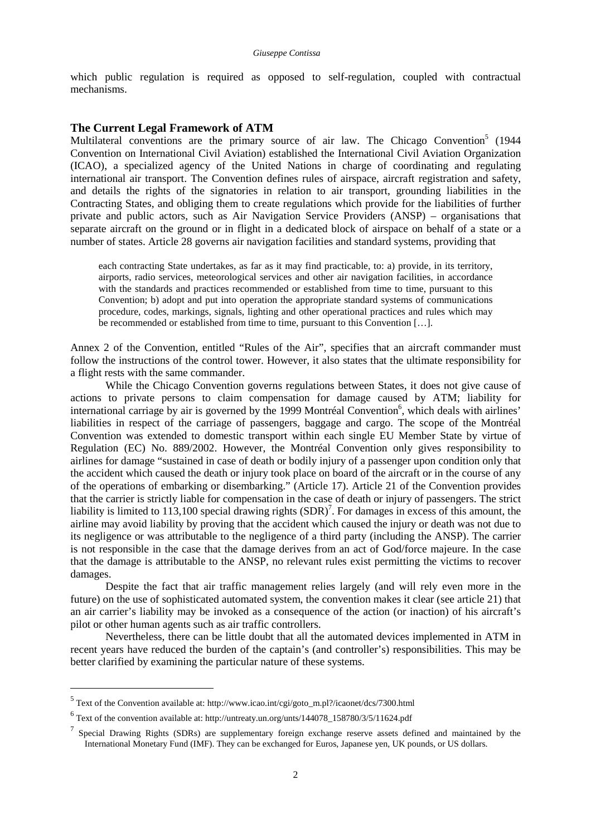which public regulation is required as opposed to self-regulation, coupled with contractual mechanisms.

## **The Current Legal Framework of ATM**

Multilateral conventions are the primary source of air law. The Chicago Convention<sup>5</sup> (1944 Convention on International Civil Aviation) established the International Civil Aviation Organization (ICAO), a specialized agency of the United Nations in charge of coordinating and regulating international air transport. The Convention defines rules of airspace, aircraft registration and safety, and details the rights of the signatories in relation to air transport, grounding liabilities in the Contracting States, and obliging them to create regulations which provide for the liabilities of further private and public actors, such as Air Navigation Service Providers (ANSP) – organisations that separate aircraft on the ground or in flight in a dedicated block of airspace on behalf of a state or a number of states. Article 28 governs air navigation facilities and standard systems, providing that

each contracting State undertakes, as far as it may find practicable, to: a) provide, in its territory, airports, radio services, meteorological services and other air navigation facilities, in accordance with the standards and practices recommended or established from time to time, pursuant to this Convention; b) adopt and put into operation the appropriate standard systems of communications procedure, codes, markings, signals, lighting and other operational practices and rules which may be recommended or established from time to time, pursuant to this Convention […].

Annex 2 of the Convention, entitled "Rules of the Air", specifies that an aircraft commander must follow the instructions of the control tower. However, it also states that the ultimate responsibility for a flight rests with the same commander.

While the Chicago Convention governs regulations between States, it does not give cause of actions to private persons to claim compensation for damage caused by ATM; liability for international carriage by air is governed by the 1999 Montréal Convention<sup>6</sup>, which deals with airlines' liabilities in respect of the carriage of passengers, baggage and cargo. The scope of the Montréal Convention was extended to domestic transport within each single EU Member State by virtue of Regulation (EC) No. 889/2002. However, the Montréal Convention only gives responsibility to airlines for damage "sustained in case of death or bodily injury of a passenger upon condition only that the accident which caused the death or injury took place on board of the aircraft or in the course of any of the operations of embarking or disembarking." (Article 17). Article 21 of the Convention provides that the carrier is strictly liable for compensation in the case of death or injury of passengers. The strict liability is limited to 113,100 special drawing rights  $(SDR)<sup>7</sup>$ . For damages in excess of this amount, the airline may avoid liability by proving that the accident which caused the injury or death was not due to its negligence or was attributable to the negligence of a third party (including the ANSP). The carrier is not responsible in the case that the damage derives from an act of God/force majeure. In the case that the damage is attributable to the ANSP, no relevant rules exist permitting the victims to recover damages.

Despite the fact that air traffic management relies largely (and will rely even more in the future) on the use of sophisticated automated system, the convention makes it clear (see article 21) that an air carrier's liability may be invoked as a consequence of the action (or inaction) of his aircraft's pilot or other human agents such as air traffic controllers.

Nevertheless, there can be little doubt that all the automated devices implemented in ATM in recent years have reduced the burden of the captain's (and controller's) responsibilities. This may be better clarified by examining the particular nature of these systems.

<sup>&</sup>lt;sup>5</sup> Text of the Convention available at: http://www.icao.int/cgi/goto\_m.pl?/icaonet/dcs/7300.html

<sup>&</sup>lt;sup>6</sup> Text of the convention available at: http://untreaty.un.org/unts/144078\_158780/3/5/11624.pdf

<sup>&</sup>lt;sup>7</sup> Special Drawing Rights (SDRs) are supplementary foreign exchange reserve assets defined and maintained by the International Monetary Fund (IMF). They can be exchanged for Euros, Japanese yen, UK pounds, or US dollars.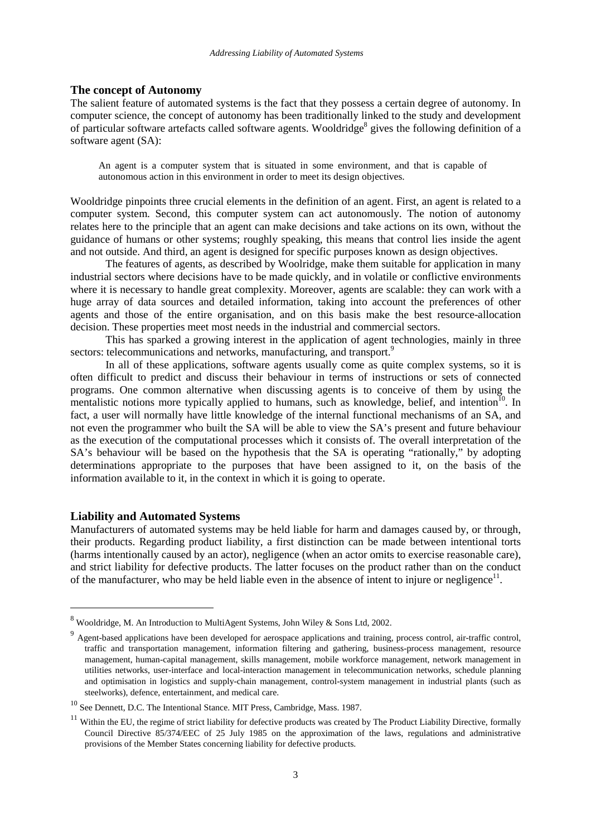#### **The concept of Autonomy**

The salient feature of automated systems is the fact that they possess a certain degree of autonomy. In computer science, the concept of autonomy has been traditionally linked to the study and development of particular software artefacts called software agents. Wooldridge<sup>8</sup> gives the following definition of a software agent (SA):

An agent is a computer system that is situated in some environment, and that is capable of autonomous action in this environment in order to meet its design objectives.

Wooldridge pinpoints three crucial elements in the definition of an agent. First, an agent is related to a computer system. Second, this computer system can act autonomously. The notion of autonomy relates here to the principle that an agent can make decisions and take actions on its own, without the guidance of humans or other systems; roughly speaking, this means that control lies inside the agent and not outside. And third, an agent is designed for specific purposes known as design objectives.

The features of agents, as described by Woolridge, make them suitable for application in many industrial sectors where decisions have to be made quickly, and in volatile or conflictive environments where it is necessary to handle great complexity. Moreover, agents are scalable: they can work with a huge array of data sources and detailed information, taking into account the preferences of other agents and those of the entire organisation, and on this basis make the best resource-allocation decision. These properties meet most needs in the industrial and commercial sectors.

This has sparked a growing interest in the application of agent technologies, mainly in three sectors: telecommunications and networks, manufacturing, and transport.<sup>9</sup>

In all of these applications, software agents usually come as quite complex systems, so it is often difficult to predict and discuss their behaviour in terms of instructions or sets of connected programs. One common alternative when discussing agents is to conceive of them by using the mentalistic notions more typically applied to humans, such as knowledge, belief, and intention<sup>10</sup>. In fact, a user will normally have little knowledge of the internal functional mechanisms of an SA, and not even the programmer who built the SA will be able to view the SA's present and future behaviour as the execution of the computational processes which it consists of. The overall interpretation of the SA's behaviour will be based on the hypothesis that the SA is operating "rationally," by adopting determinations appropriate to the purposes that have been assigned to it, on the basis of the information available to it, in the context in which it is going to operate.

## **Liability and Automated Systems**

 $\overline{a}$ 

Manufacturers of automated systems may be held liable for harm and damages caused by, or through, their products. Regarding product liability, a first distinction can be made between intentional torts (harms intentionally caused by an actor), negligence (when an actor omits to exercise reasonable care), and strict liability for defective products. The latter focuses on the product rather than on the conduct of the manufacturer, who may be held liable even in the absence of intent to injure or negligence<sup>11</sup>.

 $^8$  Wooldridge, M. An Introduction to MultiAgent Systems, John Wiley & Sons Ltd, 2002.

<sup>&</sup>lt;sup>9</sup> Agent-based applications have been developed for aerospace applications and training, process control, air-traffic control, traffic and transportation management, information filtering and gathering, business-process management, resource management, human-capital management, skills management, mobile workforce management, network management in utilities networks, user-interface and local-interaction management in telecommunication networks, schedule planning and optimisation in logistics and supply-chain management, control-system management in industrial plants (such as steelworks), defence, entertainment, and medical care.

 $^{10}$  See Dennett, D.C. The Intentional Stance. MIT Press, Cambridge, Mass. 1987.

 $11$  Within the EU, the regime of strict liability for defective products was created by The Product Liability Directive, formally Council Directive 85/374/EEC of 25 July 1985 on the approximation of the laws, regulations and administrative provisions of the Member States concerning liability for defective products.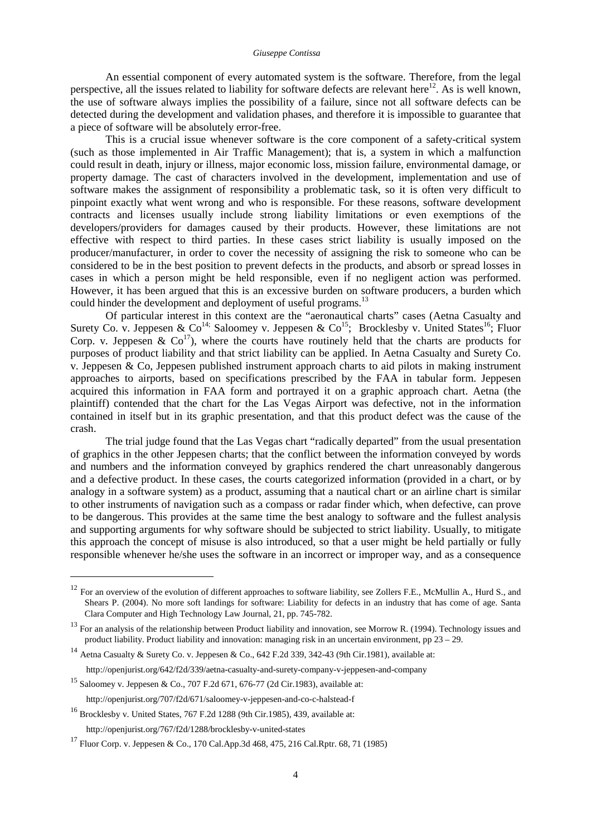#### *Giuseppe Contissa*

An essential component of every automated system is the software. Therefore, from the legal perspective, all the issues related to liability for software defects are relevant here<sup>12</sup>. As is well known, the use of software always implies the possibility of a failure, since not all software defects can be detected during the development and validation phases, and therefore it is impossible to guarantee that a piece of software will be absolutely error-free.

This is a crucial issue whenever software is the core component of a safety-critical system (such as those implemented in Air Traffic Management); that is, a system in which a malfunction could result in death, injury or illness, major economic loss, mission failure, environmental damage, or property damage. The cast of characters involved in the development, implementation and use of software makes the assignment of responsibility a problematic task, so it is often very difficult to pinpoint exactly what went wrong and who is responsible. For these reasons, software development contracts and licenses usually include strong liability limitations or even exemptions of the developers/providers for damages caused by their products. However, these limitations are not effective with respect to third parties. In these cases strict liability is usually imposed on the producer/manufacturer, in order to cover the necessity of assigning the risk to someone who can be considered to be in the best position to prevent defects in the products, and absorb or spread losses in cases in which a person might be held responsible, even if no negligent action was performed. However, it has been argued that this is an excessive burden on software producers, a burden which could hinder the development and deployment of useful programs.<sup>13</sup>

Of particular interest in this context are the "aeronautical charts" cases (Aetna Casualty and Surety Co. v. Jeppesen & Co<sup>14;</sup> Saloomey v. Jeppesen & Co<sup>15</sup>; Brocklesby v. United States<sup>16</sup>; Fluor Corp. v. Jeppesen  $\&$  Co<sup>17</sup>), where the courts have routinely held that the charts are products for purposes of product liability and that strict liability can be applied. In Aetna Casualty and Surety Co. v. Jeppesen & Co, Jeppesen published instrument approach charts to aid pilots in making instrument approaches to airports, based on specifications prescribed by the FAA in tabular form. Jeppesen acquired this information in FAA form and portrayed it on a graphic approach chart. Aetna (the plaintiff) contended that the chart for the Las Vegas Airport was defective, not in the information contained in itself but in its graphic presentation, and that this product defect was the cause of the crash.

The trial judge found that the Las Vegas chart "radically departed" from the usual presentation of graphics in the other Jeppesen charts; that the conflict between the information conveyed by words and numbers and the information conveyed by graphics rendered the chart unreasonably dangerous and a defective product. In these cases, the courts categorized information (provided in a chart, or by analogy in a software system) as a product, assuming that a nautical chart or an airline chart is similar to other instruments of navigation such as a compass or radar finder which, when defective, can prove to be dangerous. This provides at the same time the best analogy to software and the fullest analysis and supporting arguments for why software should be subjected to strict liability. Usually, to mitigate this approach the concept of misuse is also introduced, so that a user might be held partially or fully responsible whenever he/she uses the software in an incorrect or improper way, and as a consequence

 $12$  For an overview of the evolution of different approaches to software liability, see Zollers F.E., McMullin A., Hurd S., and Shears P. (2004). No more soft landings for software: Liability for defects in an industry that has come of age. Santa Clara Computer and High Technology Law Journal, 21, pp. 745-782.

 $13$  For an analysis of the relationship between Product liability and innovation, see Morrow R. (1994). Technology issues and product liability. Product liability and innovation: managing risk in an uncertain environment, pp 23 – 29.

<sup>&</sup>lt;sup>14</sup> Aetna Casualty & Surety Co. v. Jeppesen & Co., 642 F.2d 339, 342-43 (9th Cir.1981), available at:

http://openjurist.org/642/f2d/339/aetna-casualty-and-surety-company-v-jeppesen-and-company

<sup>15</sup> Saloomey v. Jeppesen & Co., 707 F.2d 671, 676-77 (2d Cir.1983), available at:

http://openjurist.org/707/f2d/671/saloomey-v-jeppesen-and-co-c-halstead-f

<sup>16</sup> Brocklesby v. United States, 767 F.2d 1288 (9th Cir.1985), 439, available at: http://openjurist.org/767/f2d/1288/brocklesby-v-united-states

<sup>&</sup>lt;sup>17</sup> Fluor Corp. v. Jeppesen & Co., 170 Cal.App.3d 468, 475, 216 Cal.Rptr. 68, 71 (1985)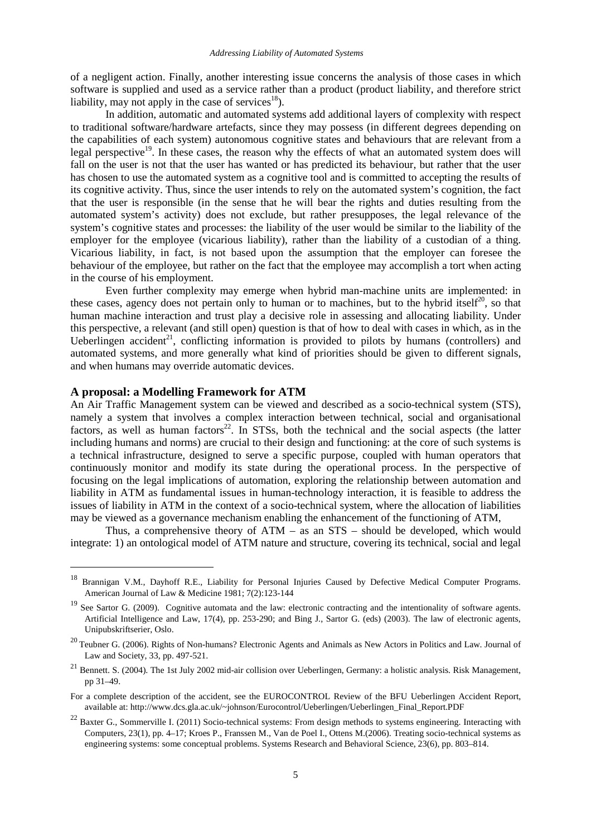of a negligent action. Finally, another interesting issue concerns the analysis of those cases in which software is supplied and used as a service rather than a product (product liability, and therefore strict liability, may not apply in the case of services $18$ ).

In addition, automatic and automated systems add additional layers of complexity with respect to traditional software/hardware artefacts, since they may possess (in different degrees depending on the capabilities of each system) autonomous cognitive states and behaviours that are relevant from a legal perspective<sup>19</sup>. In these cases, the reason why the effects of what an automated system does will fall on the user is not that the user has wanted or has predicted its behaviour, but rather that the user has chosen to use the automated system as a cognitive tool and is committed to accepting the results of its cognitive activity. Thus, since the user intends to rely on the automated system's cognition, the fact that the user is responsible (in the sense that he will bear the rights and duties resulting from the automated system's activity) does not exclude, but rather presupposes, the legal relevance of the system's cognitive states and processes: the liability of the user would be similar to the liability of the employer for the employee (vicarious liability), rather than the liability of a custodian of a thing. Vicarious liability, in fact, is not based upon the assumption that the employer can foresee the behaviour of the employee, but rather on the fact that the employee may accomplish a tort when acting in the course of his employment.

Even further complexity may emerge when hybrid man-machine units are implemented: in these cases, agency does not pertain only to human or to machines, but to the hybrid itself<sup>20</sup>, so that human machine interaction and trust play a decisive role in assessing and allocating liability. Under this perspective, a relevant (and still open) question is that of how to deal with cases in which, as in the Ueberlingen accident<sup>21</sup>, conflicting information is provided to pilots by humans (controllers) and automated systems, and more generally what kind of priorities should be given to different signals, and when humans may override automatic devices.

## **A proposal: a Modelling Framework for ATM**

l

An Air Traffic Management system can be viewed and described as a socio-technical system (STS), namely a system that involves a complex interaction between technical, social and organisational factors, as well as human factors<sup>22</sup>. In STSs, both the technical and the social aspects (the latter including humans and norms) are crucial to their design and functioning: at the core of such systems is a technical infrastructure, designed to serve a specific purpose, coupled with human operators that continuously monitor and modify its state during the operational process. In the perspective of focusing on the legal implications of automation, exploring the relationship between automation and liability in ATM as fundamental issues in human-technology interaction, it is feasible to address the issues of liability in ATM in the context of a socio-technical system, where the allocation of liabilities may be viewed as a governance mechanism enabling the enhancement of the functioning of ATM,

Thus, a comprehensive theory of ATM – as an STS – should be developed, which would integrate: 1) an ontological model of ATM nature and structure, covering its technical, social and legal

<sup>&</sup>lt;sup>18</sup> Brannigan V.M., Dayhoff R.E., Liability for Personal Injuries Caused by Defective Medical Computer Programs. American Journal of Law & Medicine 1981; 7(2):123-144

<sup>&</sup>lt;sup>19</sup> See Sartor G. (2009). Cognitive automata and the law: electronic contracting and the intentionality of software agents. Artificial Intelligence and Law, 17(4), pp. 253-290; and Bing J., Sartor G. (eds) (2003). The law of electronic agents, Unipubskriftserier, Oslo.

<sup>&</sup>lt;sup>20</sup> Teubner G. (2006). Rights of Non-humans? Electronic Agents and Animals as New Actors in Politics and Law. Journal of Law and Society, 33, pp. 497-521.

 $21$  Bennett. S. (2004). The 1st July 2002 mid-air collision over Ueberlingen, Germany: a holistic analysis. Risk Management, pp 31–49.

For a complete description of the accident, see the EUROCONTROL Review of the BFU Ueberlingen Accident Report, available at: http://www.dcs.gla.ac.uk/~johnson/Eurocontrol/Ueberlingen/Ueberlingen\_Final\_Report.PDF

<sup>&</sup>lt;sup>22</sup> Baxter G., Sommerville I. (2011) Socio-technical systems: From design methods to systems engineering. Interacting with Computers, 23(1), pp. 4–17; Kroes P., Franssen M., Van de Poel I., Ottens M.(2006). Treating socio-technical systems as engineering systems: some conceptual problems. Systems Research and Behavioral Science, 23(6), pp. 803–814.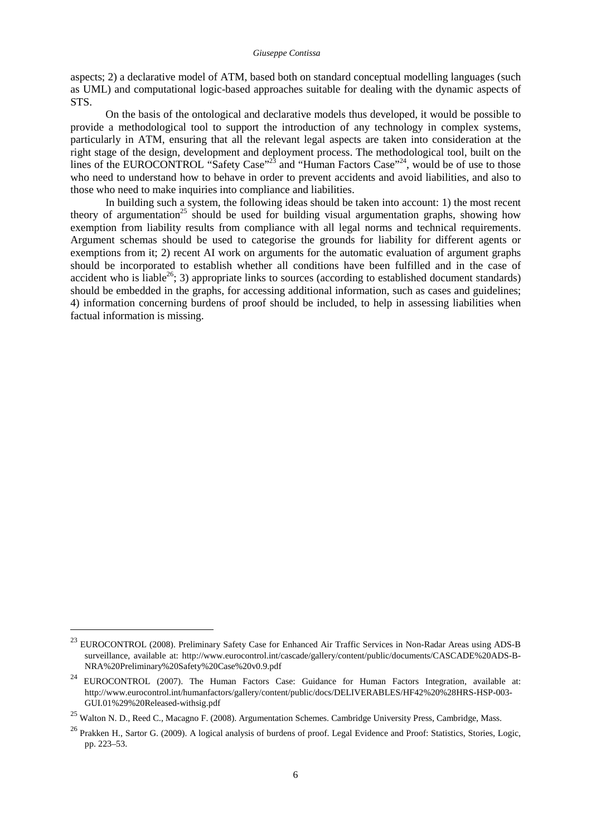aspects; 2) a declarative model of ATM, based both on standard conceptual modelling languages (such as UML) and computational logic-based approaches suitable for dealing with the dynamic aspects of STS.

On the basis of the ontological and declarative models thus developed, it would be possible to provide a methodological tool to support the introduction of any technology in complex systems, particularly in ATM, ensuring that all the relevant legal aspects are taken into consideration at the right stage of the design, development and deployment process. The methodological tool, built on the lines of the EUROCONTROL "Safety Case"<sup>23</sup> and "Human Factors Case"<sup>24</sup>, would be of use to those who need to understand how to behave in order to prevent accidents and avoid liabilities, and also to those who need to make inquiries into compliance and liabilities.

In building such a system, the following ideas should be taken into account: 1) the most recent theory of argumentation<sup>25</sup> should be used for building visual argumentation graphs, showing how exemption from liability results from compliance with all legal norms and technical requirements. Argument schemas should be used to categorise the grounds for liability for different agents or exemptions from it; 2) recent AI work on arguments for the automatic evaluation of argument graphs should be incorporated to establish whether all conditions have been fulfilled and in the case of accident who is liable<sup>26</sup>; 3) appropriate links to sources (according to established document standards) should be embedded in the graphs, for accessing additional information, such as cases and guidelines; 4) information concerning burdens of proof should be included, to help in assessing liabilities when factual information is missing.

<sup>&</sup>lt;sup>23</sup> EUROCONTROL (2008). Preliminary Safety Case for Enhanced Air Traffic Services in Non-Radar Areas using ADS-B surveillance, available at: http://www.eurocontrol.int/cascade/gallery/content/public/documents/CASCADE%20ADS-B-NRA%20Preliminary%20Safety%20Case%20v0.9.pdf

<sup>&</sup>lt;sup>24</sup> EUROCONTROL (2007). The Human Factors Case: Guidance for Human Factors Integration, available at: http://www.eurocontrol.int/humanfactors/gallery/content/public/docs/DELIVERABLES/HF42%20%28HRS-HSP-003- GUI.01%29%20Released-withsig.pdf

<sup>&</sup>lt;sup>25</sup> Walton N. D., Reed C., Macagno F. (2008). Argumentation Schemes. Cambridge University Press, Cambridge, Mass.

<sup>&</sup>lt;sup>26</sup> Prakken H., Sartor G. (2009). A logical analysis of burdens of proof. Legal Evidence and Proof: Statistics, Stories, Logic, pp. 223–53.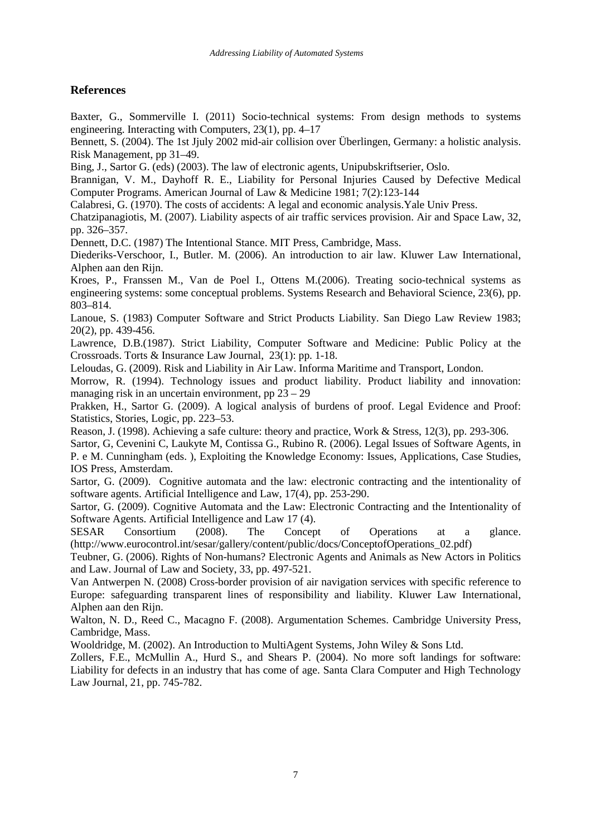# **References**

Baxter, G., Sommerville I. (2011) Socio-technical systems: From design methods to systems engineering. Interacting with Computers, 23(1), pp. 4–17

Bennett, S. (2004). The 1st Jjuly 2002 mid-air collision over Überlingen, Germany: a holistic analysis. Risk Management, pp 31–49.

Bing, J., Sartor G. (eds) (2003). The law of electronic agents, Unipubskriftserier, Oslo.

Brannigan, V. M., Dayhoff R. E., Liability for Personal Injuries Caused by Defective Medical Computer Programs. American Journal of Law & Medicine 1981; 7(2):123-144

Calabresi, G. (1970). The costs of accidents: A legal and economic analysis.Yale Univ Press.

Chatzipanagiotis, M. (2007). Liability aspects of air traffic services provision. Air and Space Law, 32, pp. 326–357.

Dennett, D.C. (1987) The Intentional Stance. MIT Press, Cambridge, Mass.

Diederiks-Verschoor, I., Butler. M. (2006). An introduction to air law. Kluwer Law International, Alphen aan den Rijn.

Kroes, P., Franssen M., Van de Poel I., Ottens M.(2006). Treating socio-technical systems as engineering systems: some conceptual problems. Systems Research and Behavioral Science, 23(6), pp. 803–814.

Lanoue, S. (1983) Computer Software and Strict Products Liability. San Diego Law Review 1983; 20(2), pp. 439-456.

Lawrence, D.B.(1987). Strict Liability, Computer Software and Medicine: Public Policy at the Crossroads. Torts & Insurance Law Journal, 23(1): pp. 1-18.

Leloudas, G. (2009). Risk and Liability in Air Law. Informa Maritime and Transport, London.

Morrow, R. (1994). Technology issues and product liability. Product liability and innovation: managing risk in an uncertain environment, pp  $23 - 29$ 

Prakken, H., Sartor G. (2009). A logical analysis of burdens of proof. Legal Evidence and Proof: Statistics, Stories, Logic, pp. 223–53.

Reason, J. (1998). Achieving a safe culture: theory and practice, Work & Stress, 12(3), pp. 293-306.

Sartor, G, Cevenini C, Laukyte M, Contissa G., Rubino R. (2006). Legal Issues of Software Agents, in P. e M. Cunningham (eds. ), Exploiting the Knowledge Economy: Issues, Applications, Case Studies, IOS Press, Amsterdam.

Sartor, G. (2009). Cognitive automata and the law: electronic contracting and the intentionality of software agents. Artificial Intelligence and Law, 17(4), pp. 253-290.

Sartor, G. (2009). Cognitive Automata and the Law: Electronic Contracting and the Intentionality of Software Agents. Artificial Intelligence and Law 17 (4).

SESAR Consortium (2008). The Concept of Operations at a glance. (http://www.eurocontrol.int/sesar/gallery/content/public/docs/ConceptofOperations\_02.pdf)

Teubner, G. (2006). Rights of Non-humans? Electronic Agents and Animals as New Actors in Politics and Law. Journal of Law and Society, 33, pp. 497-521.

Van Antwerpen N. (2008) Cross-border provision of air navigation services with specific reference to Europe: safeguarding transparent lines of responsibility and liability. Kluwer Law International, Alphen aan den Rijn.

Walton, N. D., Reed C., Macagno F. (2008). Argumentation Schemes. Cambridge University Press, Cambridge, Mass.

Wooldridge, M. (2002). An Introduction to MultiAgent Systems, John Wiley & Sons Ltd.

Zollers, F.E., McMullin A., Hurd S., and Shears P. (2004). No more soft landings for software: Liability for defects in an industry that has come of age. Santa Clara Computer and High Technology Law Journal, 21, pp. 745-782.